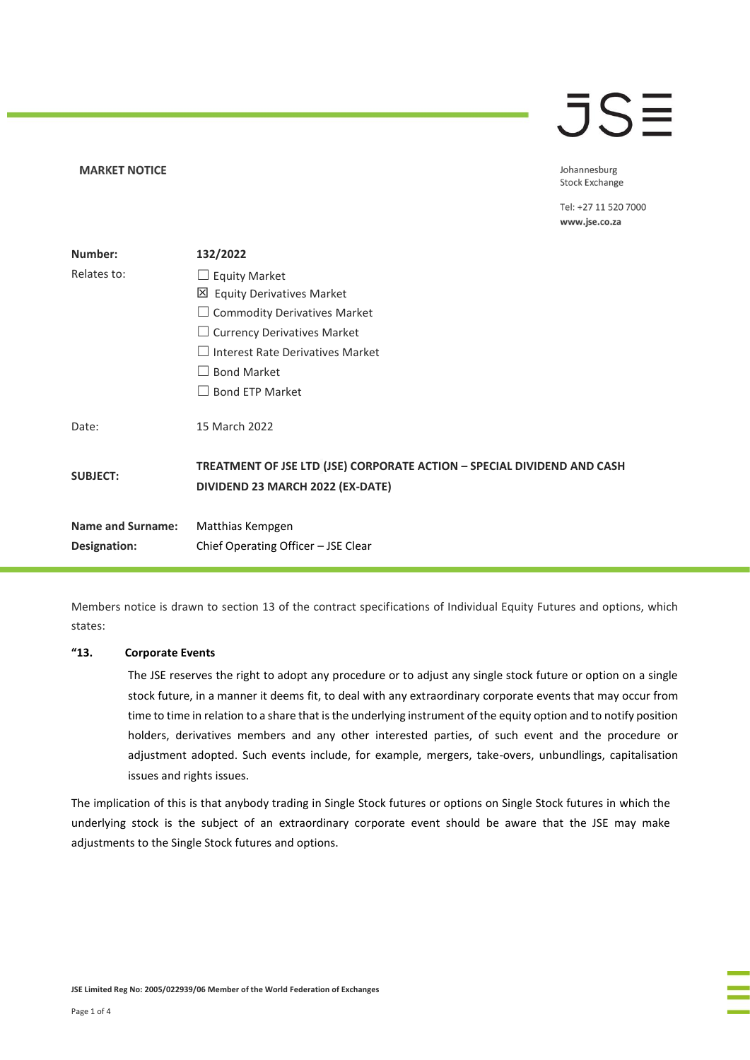# $\overline{\mathsf{J}}\mathsf{S}\mathsf{\Xi}$

**MARKET NOTICE** 

Johannesburg **Stock Exchange** 

Tel: +27 11 520 7000 www.jse.co.za

| Number:                  | 132/2022                                                                                                    |
|--------------------------|-------------------------------------------------------------------------------------------------------------|
| Relates to:              | $\Box$ Equity Market                                                                                        |
|                          | 凶 Equity Derivatives Market                                                                                 |
|                          | <b>Commodity Derivatives Market</b>                                                                         |
|                          | <b>Currency Derivatives Market</b><br>$\Box$                                                                |
|                          | Interest Rate Derivatives Market<br>$\vert \ \ \vert$                                                       |
|                          | <b>Bond Market</b>                                                                                          |
|                          | <b>Bond ETP Market</b><br>$\Box$                                                                            |
| Date:                    | 15 March 2022                                                                                               |
| <b>SUBJECT:</b>          | TREATMENT OF JSE LTD (JSE) CORPORATE ACTION - SPECIAL DIVIDEND AND CASH<br>DIVIDEND 23 MARCH 2022 (EX-DATE) |
| <b>Name and Surname:</b> | Matthias Kempgen                                                                                            |
| Designation:             | Chief Operating Officer - JSE Clear                                                                         |

Members notice is drawn to section 13 of the contract specifications of Individual Equity Futures and options, which states:

#### **"13. Corporate Events**

The JSE reserves the right to adopt any procedure or to adjust any single stock future or option on a single stock future, in a manner it deems fit, to deal with any extraordinary corporate events that may occur from time to time in relation to a share that is the underlying instrument of the equity option and to notify position holders, derivatives members and any other interested parties, of such event and the procedure or adjustment adopted. Such events include, for example, mergers, take-overs, unbundlings, capitalisation issues and rights issues.

The implication of this is that anybody trading in Single Stock futures or options on Single Stock futures in which the underlying stock is the subject of an extraordinary corporate event should be aware that the JSE may make adjustments to the Single Stock futures and options.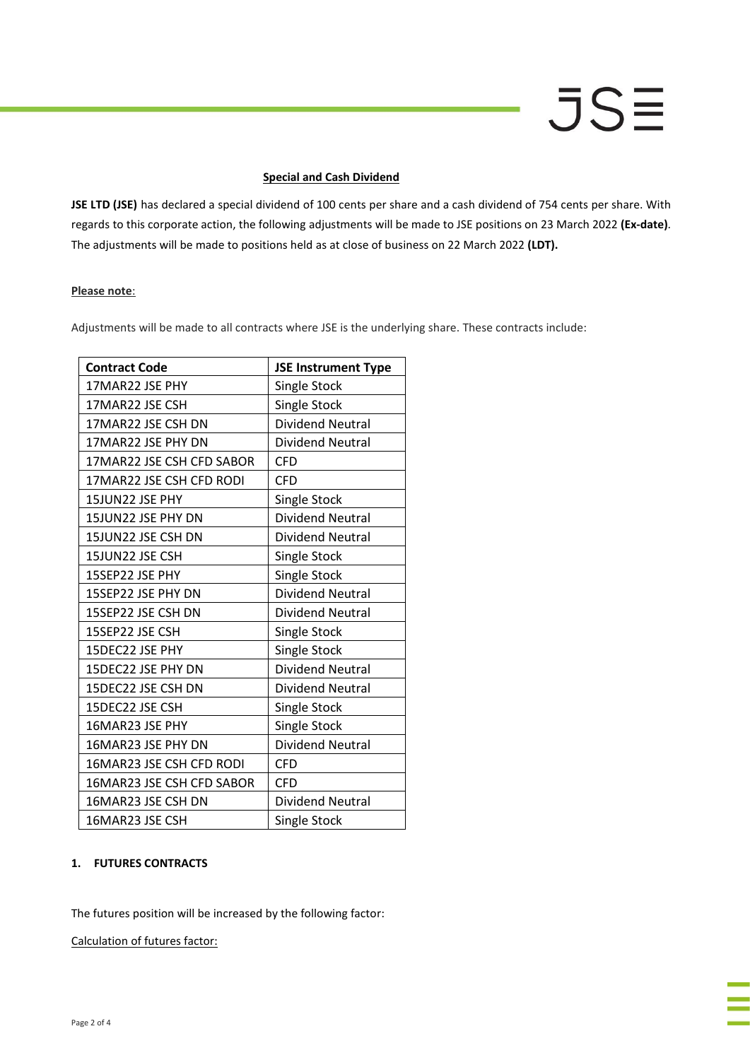# **JSE**

#### **Special and Cash Dividend**

**JSE LTD (JSE)** has declared a special dividend of 100 cents per share and a cash dividend of 754 cents per share. With regards to this corporate action, the following adjustments will be made to JSE positions on 23 March 2022 **(Ex-date)**. The adjustments will be made to positions held as at close of business on 22 March 2022 **(LDT).**

#### **Please note**:

Adjustments will be made to all contracts where JSE is the underlying share. These contracts include:

| <b>Contract Code</b>      | <b>JSE Instrument Type</b> |
|---------------------------|----------------------------|
| 17MAR22 JSE PHY           | Single Stock               |
| 17MAR22 JSE CSH           | Single Stock               |
| 17MAR22 JSE CSH DN        | <b>Dividend Neutral</b>    |
| 17MAR22 JSE PHY DN        | <b>Dividend Neutral</b>    |
| 17MAR22 JSE CSH CFD SABOR | <b>CFD</b>                 |
| 17MAR22 JSE CSH CFD RODI  | <b>CFD</b>                 |
| 15JUN22 JSE PHY           | Single Stock               |
| 15JUN22 JSE PHY DN        | <b>Dividend Neutral</b>    |
| 15JUN22 JSE CSH DN        | <b>Dividend Neutral</b>    |
| 15JUN22 JSE CSH           | Single Stock               |
| 15SEP22 JSE PHY           | Single Stock               |
| 15SEP22 JSE PHY DN        | <b>Dividend Neutral</b>    |
| 15SEP22 JSE CSH DN        | <b>Dividend Neutral</b>    |
| 15SEP22 JSE CSH           | Single Stock               |
| 15DEC22 JSE PHY           | Single Stock               |
| 15DEC22 JSE PHY DN        | <b>Dividend Neutral</b>    |
| 15DEC22 JSE CSH DN        | Dividend Neutral           |
| 15DEC22 JSE CSH           | Single Stock               |
| 16MAR23 JSE PHY           | Single Stock               |
| 16MAR23 JSE PHY DN        | <b>Dividend Neutral</b>    |
| 16MAR23 JSE CSH CFD RODI  | <b>CFD</b>                 |
| 16MAR23 JSE CSH CFD SABOR | <b>CFD</b>                 |
| 16MAR23 JSE CSH DN        | Dividend Neutral           |
| 16MAR23 JSE CSH           | Single Stock               |

## **1. FUTURES CONTRACTS**

The futures position will be increased by the following factor:

Calculation of futures factor: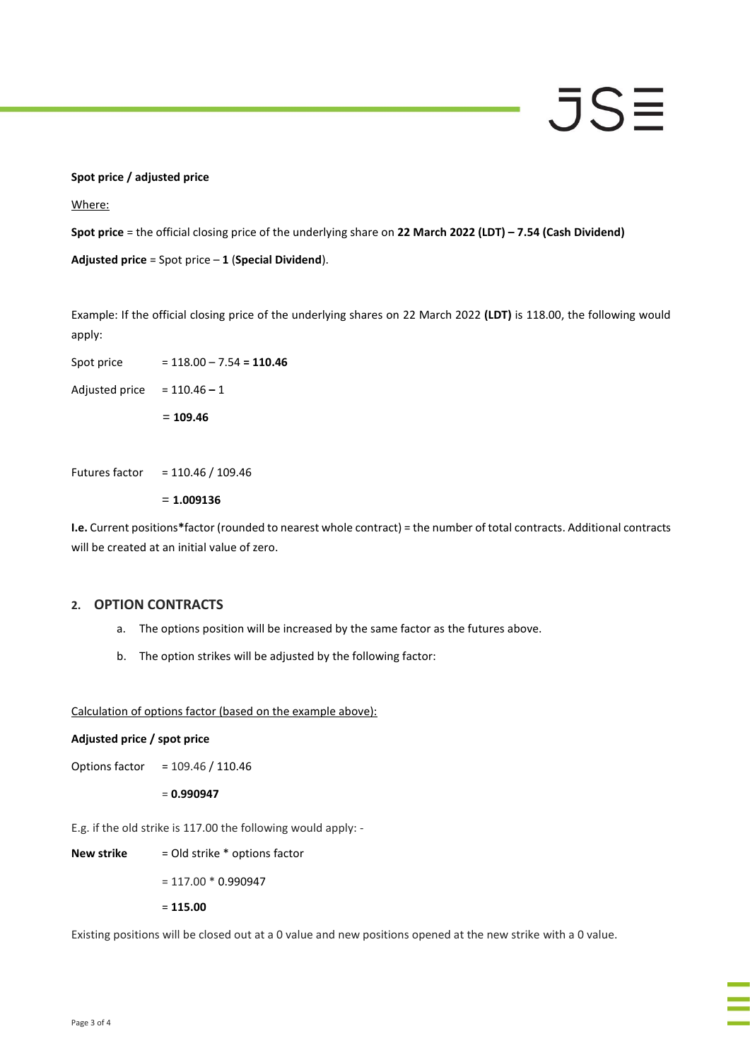#### **Spot price / adjusted price**

Where:

**Spot price** = the official closing price of the underlying share on **22 March 2022 (LDT) – 7.54 (Cash Dividend)**

**Adjusted price** = Spot price – **1** (**Special Dividend**).

Example: If the official closing price of the underlying shares on 22 March 2022 **(LDT)** is 118.00, the following would apply:

JSE

Spot price = 118.00 – 7.54 **= 110.46**

Adjusted price = 110.46 **–** 1

= **109.46**

Futures factor = 110.46 / 109.46

= **1.009136**

**I.e.** Current positions**\***factor (rounded to nearest whole contract) = the number of total contracts. Additional contracts will be created at an initial value of zero.

#### **2. OPTION CONTRACTS**

- a. The options position will be increased by the same factor as the futures above.
- b. The option strikes will be adjusted by the following factor:

Calculation of options factor (based on the example above):

#### **Adjusted price / spot price**

Options factor = 109.46 / 110.46

= **0.990947**

E.g. if the old strike is 117.00 the following would apply: -

**New strike** = Old strike \* options factor

 $= 117.00 * 0.990947$ 

= **115.00**

Existing positions will be closed out at a 0 value and new positions opened at the new strike with a 0 value.